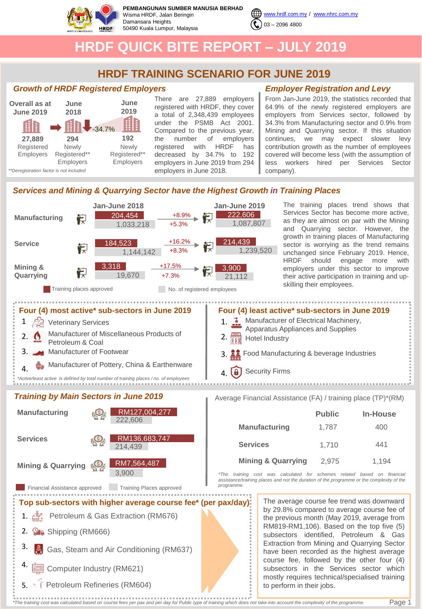

**PEMBANGUNAN SUMBER MANUSIA BERHAD** Wisma HRDF, Jalan Beringin Damansara Heights 50490 Kuala Lumpur, Malaysia



# **HRDF QUICK BITE REPORT – JULY 2019**

## **HRDF TRAINING SCENARIO FOR JUNE 2019**

### *Growth of HRDF Registered Employers*



There are 27,889 employers registered with HRDF, they cover a total of 2,348,439 employees under the PSMB Act 2001. Compared to the previous year, the number of employers registered with HRDF has decreased by 34.7% to 192 employers in June 2019 from 294 employers in June 2018.

## *Employer Registration and Levy*

From Jan-June 2019, the statistics recorded that 64.9% of the newly registered employers are employers from Services sector, followed by 34.3% from Manufacturing sector and 0.9% from Mining and Quarrying sector. If this situation continues, we may expect slower levy contribution growth as the number of employees covered will become less (with the assumption of less workers hired per Services Sector company).

## *Services and Mining & Quarrying Sector have the Highest Growth in Training Places*



Page 1